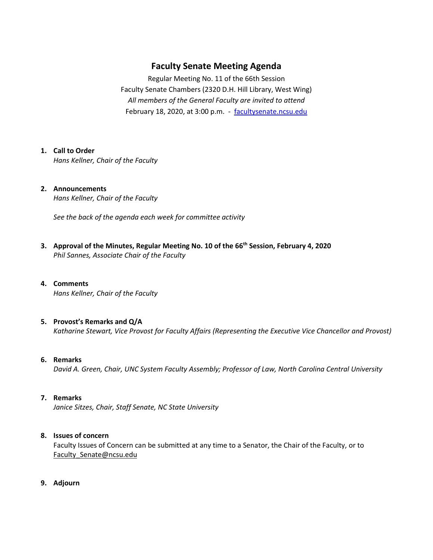## **Faculty Senate Meeting Agenda**

Regular Meeting No. 11 of the 66th Session Faculty Senate Chambers (2320 D.H. Hill Library, West Wing) *All members of the General Faculty are invited to attend* February 18, 2020, at 3:00 p.m. - [facultysenate.ncsu.edu](https://facultysenate.ncsu.edu/)

### **1. Call to Order**

*Hans Kellner, Chair of the Faculty*

### **2. Announcements** *Hans Kellner, Chair of the Faculty*

*See the back of the agenda each week for committee activity* 

- **3. Approval of the Minutes, Regular Meeting No. 10 of the 66th Session, February 4, 2020** *Phil Sannes, Associate Chair of the Faculty*
- **4. Comments** *Hans Kellner, Chair of the Faculty*
- **5. Provost's Remarks and Q/A** *Katharine Stewart, Vice Provost for Faculty Affairs (Representing the Executive Vice Chancellor and Provost)*
- **6. Remarks**

*David A. Green, Chair, UNC System Faculty Assembly; Professor of Law, North Carolina Central University*

**7. Remarks**

*Janice Sitzes, Chair, Staff Senate, NC State University*

### **8. Issues of concern**

Faculty Issues of Concern can be submitted at any time to a Senator, the Chair of the Faculty, or to [Faculty\\_Senate@ncsu.edu](mailto:Faculty_Senate@ncsu.edu)

**9. Adjourn**